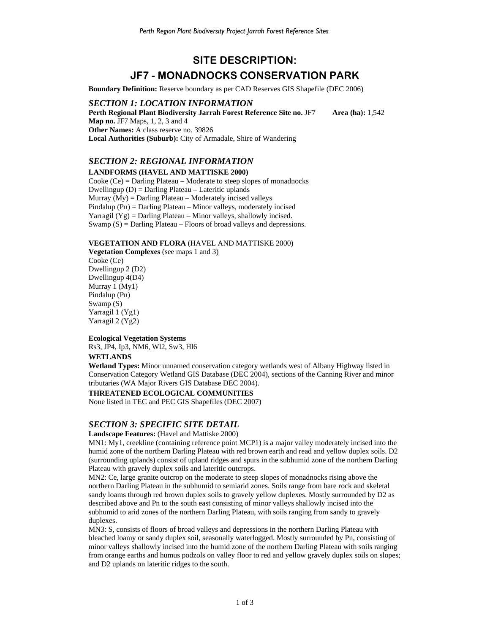# **SITE DESCRIPTION: JF7 - MONADNOCKS CONSERVATION PARK**

**Boundary Definition:** Reserve boundary as per CAD Reserves GIS Shapefile (DEC 2006)

## *SECTION 1: LOCATION INFORMATION*  **Perth Regional Plant Biodiversity Jarrah Forest Reference Site no. JF7 Area (ha):** 1,542 **Map no.** JF7 Maps, 1, 2, 3 and 4 **Other Names:** A class reserve no. 39826 **Local Authorities (Suburb):** City of Armadale, Shire of Wandering

# *SECTION 2: REGIONAL INFORMATION*  **LANDFORMS (HAVEL AND MATTISKE 2000)**

Cooke (Ce) = Darling Plateau – Moderate to steep slopes of monadnocks Dwellingup (D) = Darling Plateau – Lateritic uplands Murray  $(My)$  = Darling Plateau – Moderately incised valleys Pindalup (Pn) = Darling Plateau – Minor valleys, moderately incised Yarragil  $(Yg)$  = Darling Plateau – Minor valleys, shallowly incised. Swamp  $(S)$  = Darling Plateau – Floors of broad valleys and depressions.

## **VEGETATION AND FLORA** (HAVEL AND MATTISKE 2000)

**Vegetation Complexes** (see maps 1 and 3) Cooke (Ce) Dwellingup 2 (D2) Dwellingup 4(D4) Murray 1 (My1) Pindalup (Pn) Swamp (S) Yarragil 1 (Yg1) Yarragil 2 (Yg2)

## **Ecological Vegetation Systems**

Rs3, JP4, Ip3, NM6, Wl2, Sw3, Hl6

#### **WETLANDS**

**Wetland Types:** Minor unnamed conservation category wetlands west of Albany Highway listed in Conservation Category Wetland GIS Database (DEC 2004), sections of the Canning River and minor tributaries (WA Major Rivers GIS Database DEC 2004).

#### **THREATENED ECOLOGICAL COMMUNITIES**

None listed in TEC and PEC GIS Shapefiles (DEC 2007)

## *SECTION 3: SPECIFIC SITE DETAIL*

#### **Landscape Features:** (Havel and Mattiske 2000)

MN1: My1, creekline (containing reference point MCP1) is a major valley moderately incised into the humid zone of the northern Darling Plateau with red brown earth and read and yellow duplex soils. D2 (surrounding uplands) consist of upland ridges and spurs in the subhumid zone of the northern Darling Plateau with gravely duplex soils and lateritic outcrops.

MN2: Ce, large granite outcrop on the moderate to steep slopes of monadnocks rising above the northern Darling Plateau in the subhumid to semiarid zones. Soils range from bare rock and skeletal sandy loams through red brown duplex soils to gravely yellow duplexes. Mostly surrounded by D2 as described above and Pn to the south east consisting of minor valleys shallowly incised into the subhumid to arid zones of the northern Darling Plateau, with soils ranging from sandy to gravely duplexes.

MN3: S, consists of floors of broad valleys and depressions in the northern Darling Plateau with bleached loamy or sandy duplex soil, seasonally waterlogged. Mostly surrounded by Pn, consisting of minor valleys shallowly incised into the humid zone of the northern Darling Plateau with soils ranging from orange earths and humus podzols on valley floor to red and yellow gravely duplex soils on slopes; and D2 uplands on lateritic ridges to the south.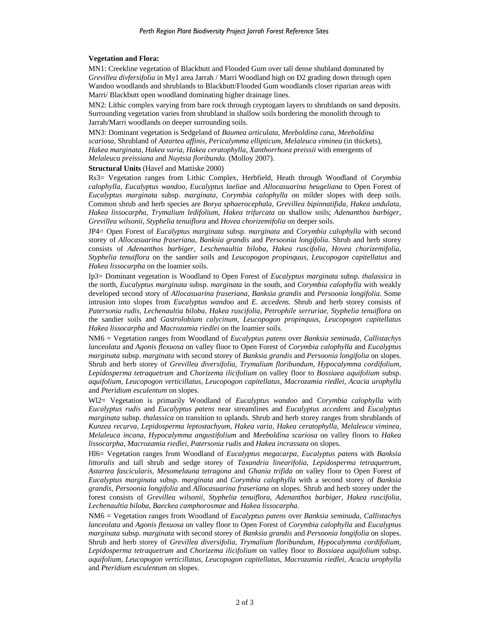#### **Vegetation and Flora:**

MN1: Creekline vegetation of Blackbutt and Flooded Gum over tall dense shubland dominated by *Grevillea divfersifolia* in My1 area Jarrah / Marri Woodland high on D2 grading down through open Wandoo woodlands and shrublands to Blackbutt/Flooded Gum woodlands closer riparian areas with Marri/ Blackbutt open woodland dominating higher drainage lines.

MN2: Lithic complex varying from bare rock through cryptogam layers to shrublands on sand deposits. Surrounding vegetation varies from shrubland in shallow soils bordering the monolith through to Jarrah/Marri woodlands on deeper surrounding soils.

MN3: Dominant vegetation is Sedgeland of *Baumea articulata, Meeboldina cana, Meeboldina scariosa,* Shrubland of *Astartea affinis, Pericalymma ellipticum, Melaleuca viminea* (in thickets)*, Hakea marginata, Hakea varia, Hakea ceratophylla, Xanthorrhoea preissii* with emergents of *Melaleuca preissiana* and *Nuytsia floribunda.* (Molloy 2007).

#### **Structural Units** (Havel and Mattiske 2000)

Rs3= Vegetation ranges from Lithic Complex, Herbfield, Heath through Woodland of *Corymbia calophylla, Eucalyptus wandoo, Eucalyptus laeliae* and *Allocasuarina heugeliana* to Open Forest of *Eucalyptus marginata* subsp. *marginata, Corymbia calophylla* on milder slopes with deep soils. Common shrub and herb species are *Borya sphaerocephala, Grevillea bipinnatifida, Hakea undulata, Hakea lissocarpha, Trymalium ledifolium, Hakea trifurcata* on shallow soils; *Adenanthos barbiger, Grevillea wilsonii, Styphelia tenuiflora* and *Hovea chorizemifolia* on deeper soils.

JP4= Open Forest of *Eucalyptus marginata* subsp. *marginata* and *Corymbia calophylla* with second storey of *Allocasuarina fraseriana, Banksia grandis* and *Persoonia longifolia.* Shrub and herb storey consists of *Adenanthos barbiger, Leschenaultia biloba, Hakea ruscifolia, Hovea chorizemifolia, Styphelia tenuiflora* on the sandier soils and *Leucopogon propinquus, Leucopogon capitellatus* and *Hakea lissocarpha* on the loamier soils.

Ip3= Dominant vegetation is Woodland to Open Forest of *Eucalyptus marginata* subsp. *thalassica* in the north, *Eucalyptus marginata* subsp. *marginata* in the south, and *Corymbia calophylla* with weakly developed second story of *Allocasuarina fraseriana, Banksia grandis* and *Persoonia longifolia.* Some intrusion into slopes from *Eucalyptus wandoo* and *E. accedens.* Shrub and herb storey consists of *Patersonia rudis, Lechenaultia biloba, Hakea ruscifolia, Petrophile serruriae, Styphelia tenuiflora* on the sandier soils and *Gastrolobium calycinum, Leucopogon propinquus, Leucopogon capitellatus Hakea lissocarpha* and *Macrozamia riedlei* on the loamier soils.

NM6 = Vegetation ranges from Woodland of *Eucalyptus patens* over *Banksia seminuda, Callistachys lanceolata* and *Agonis flexuosa* on valley floor to Open Forest of *Corymbia calophylla* and *Eucalyptus marginata* subsp. *marginata* with second storey of *Banksia grandis* and *Persoonia longifolia* on slopes. Shrub and herb storey of *Grevillea diversifolia, Trymalium floribundum, Hypocalymma cordifolium, Lepidosperma tetraquetrum* and *Chorizema ilicifolium* on valley floor to *Bossiaea aquifolium* subsp. *aquifolium, Leucopogon verticillatus, Leucopogon capitellatus, Macrozamia riedlei, Acacia urophylla* and *Pteridium esculentum* on slopes.

Wl2= Vegetation is primarily Woodland of *Eucalyptus wandoo* and *Corymbia calophylla* with *Eucalyptus rudis* and *Eucalyptus patens* near streamlines and *Eucalyptus accedens* and *Eucalyptus marginata* subsp. *thalassica* on transition to uplands. Shrub and herb storey ranges from shrublands of *Kunzea recurva, Lepidosperma leptostachyum, Hakea varia, Hakea ceratophylla, Melaleuca viminea, Melaleuca incana, Hypocalymma angustifolium* and *Meeboldina scariosa* on valley floors to *Hakea lissocarpha, Macrozamia riedlei, Patersonia rudis* and *Hakea incrassata* on slopes.

Hl6= Vegetation ranges from Woodland of *Eucalyptus megacarpa, Eucalyptus patens* with *Banksia littoralis* and tall shrub and sedge storey of *Taxandria linearifolia, Lepidosperma tetraquetrum, Astartea fascicularis, Mesomelauna tetragona* and *Ghania trifida* on valley floor to Open Forest of *Eucalyptus marginata* subsp. *marginata* and *Corymbia calophylla* with a second storey of *Banksia grandis, Persoonia longifolia* and *Allocasuarina fraseriana* on slopes. Shrub and herb storey under the forest consists of *Grevillea wilsonii, Styphelia tenuiflora, Adenanthos barbiger, Hakea ruscifolia, Lechenaultia biloba, Baeckea camphorosmae* and *Hakea lissocarpha.* 

NM6 = Vegetation ranges from Woodland of *Eucalyptus patens* over *Banksia seminuda, Callistachys lanceolata* and *Agonis flexuosa* on valley floor to Open Forest of *Corymbia calophylla* and *Eucalyptus marginata* subsp. *marginata* with second storey of *Banksia grandis* and *Persoonia longifolia* on slopes. Shrub and herb storey of *Grevillea diversifolia, Trymalium floribundum, Hypocalymma cordifolium, Lepidosperma tetraquetrum* and *Chorizema ilicifolium* on valley floor to *Bossiaea aquifolium* subsp. *aquifolium, Leucopogon verticillatus, Leucopogon capitellatus, Macrozamia riedlei, Acacia urophylla* and *Pteridium esculentum* on slopes.